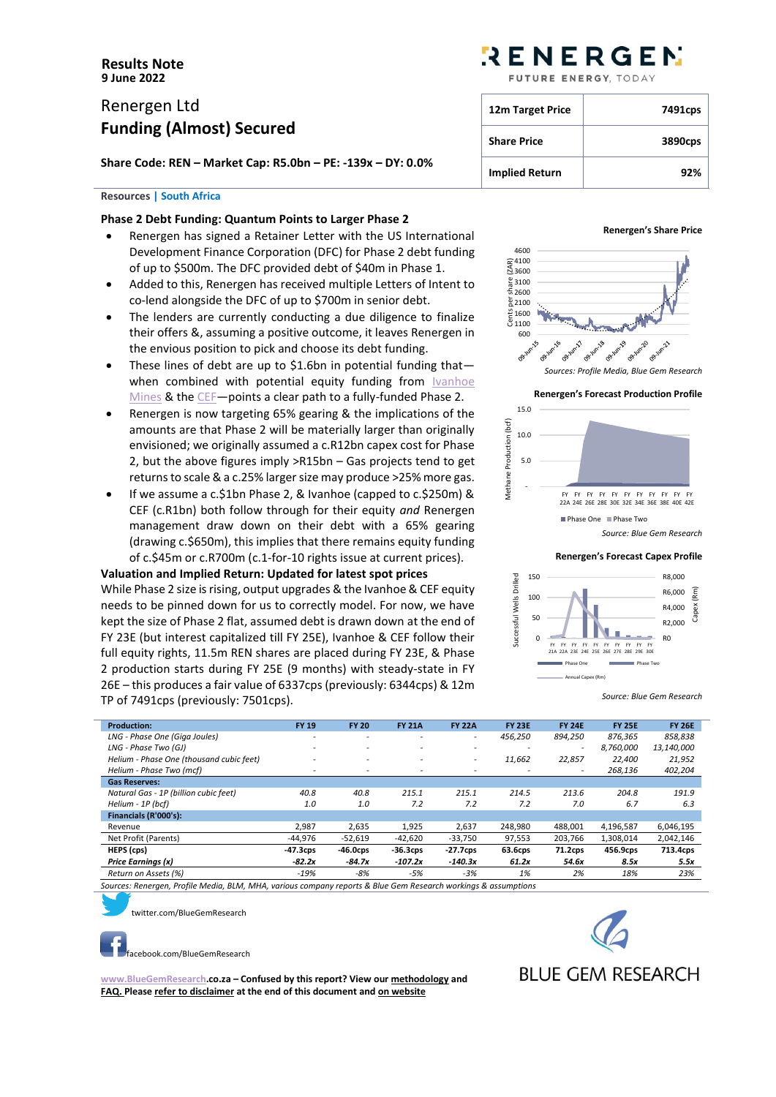# Renergen Ltd **Funding (Almost) Secured**

**Share Code: REN – Market Cap: R5.0bn – PE: -139x – DY: 0.0%**

# **Resources | South Africa**

# **Phase 2 Debt Funding: Quantum Points to Larger Phase 2**

- Renergen has signed a Retainer Letter with the US International Development Finance Corporation (DFC) for Phase 2 debt funding of up to \$500m. The DFC provided debt of \$40m in Phase 1.
- Added to this, Renergen has received multiple Letters of Intent to co-lend alongside the DFC of up to \$700m in senior debt.
- The lenders are currently conducting a due diligence to finalize their offers &, assuming a positive outcome, it leaves Renergen in the envious position to pick and choose its debt funding.
- These lines of debt are up to \$1.6bn in potential funding thatwhen combined with potential equity funding from **Ivanhoe** [Mines](https://bluegemresearch.co.za/?p=352) & th[e CEF](https://bluegemresearch.co.za/?p=362)—points a clear path to a fully-funded Phase 2.
- Renergen is now targeting 65% gearing & the implications of the amounts are that Phase 2 will be materially larger than originally envisioned; we originally assumed a c.R12bn capex cost for Phase 2, but the above figures imply >R15bn – Gas projects tend to get returns to scale & a c.25% larger size may produce >25% more gas.
- If we assume a c.\$1bn Phase 2, & Ivanhoe (capped to c.\$250m) & CEF (c.R1bn) both follow through for their equity *and* Renergen management draw down on their debt with a 65% gearing (drawing c.\$650m), this implies that there remains equity funding of c.\$45m or c.R700m (c.1-for-10 rights issue at current prices).

# **Valuation and Implied Return: Updated for latest spot prices**

While Phase 2 size is rising, output upgrades & the Ivanhoe & CEF equity needs to be pinned down for us to correctly model. For now, we have kept the size of Phase 2 flat, assumed debt is drawn down at the end of FY 23E (but interest capitalized till FY 25E), Ivanhoe & CEF follow their full equity rights, 11.5m REN shares are placed during FY 23E, & Phase 2 production starts during FY 25E (9 months) with steady-state in FY 26E – this produces a fair value of 6337cps (previously: 6344cps) & 12m TP of 7491cps (previously: 7501cps).

# RENERGEN

FUTURE ENERGY TODAY

| 12m Target Price      | 7491cps |
|-----------------------|---------|
| <b>Share Price</b>    | 3890cps |
| <b>Implied Return</b> | 92%     |

# **Renergen's Share Price**





**Renergen's Forecast Capex Profile**



*Source: Blue Gem Research*

| <b>Production:</b>                       | <b>FY 19</b>             | <b>FY 20</b>             | <b>FY 21A</b>            | <b>FY 22A</b>            | <b>FY 23E</b>            | <b>FY 24E</b>            | <b>FY 25E</b> | <b>FY 26E</b> |
|------------------------------------------|--------------------------|--------------------------|--------------------------|--------------------------|--------------------------|--------------------------|---------------|---------------|
| LNG - Phase One (Giga Joules)            |                          | $\overline{\phantom{0}}$ |                          | $\overline{\phantom{a}}$ | 456,250                  | 894,250                  | 876.365       | 858,838       |
| LNG - Phase Two (GJ)                     | $\overline{\phantom{0}}$ | $\overline{\phantom{a}}$ | $\overline{\phantom{a}}$ | $\overline{\phantom{a}}$ | $\overline{\phantom{0}}$ | $\overline{\phantom{0}}$ | 8.760.000     | 13,140,000    |
| Helium - Phase One (thousand cubic feet) |                          | -                        | $\overline{\phantom{a}}$ | -                        | 11,662                   | 22,857                   | 22,400        | 21,952        |
| Helium - Phase Two (mcf)                 | $\overline{\phantom{0}}$ | ۰                        |                          |                          |                          |                          | 268,136       | 402,204       |
| <b>Gas Reserves:</b>                     |                          |                          |                          |                          |                          |                          |               |               |
| Natural Gas - 1P (billion cubic feet)    | 40.8                     | 40.8                     | 215.1                    | 215.1                    | 214.5                    | 213.6                    | 204.8         | 191.9         |
| Helium - 1P (bcf)                        | 1.0                      | 1.0                      | 7.2                      | 7.2                      | 7.2                      | 7.0                      | 6.7           | 6.3           |
| Financials (R'000's):                    |                          |                          |                          |                          |                          |                          |               |               |
| Revenue                                  | 2.987                    | 2,635                    | 1,925                    | 2,637                    | 248.980                  | 488,001                  | 4,196,587     | 6,046,195     |
| Net Profit (Parents)                     | $-44,976$                | $-52,619$                | $-42,620$                | $-33,750$                | 97,553                   | 203,766                  | 1,308,014     | 2,042,146     |
| HEPS (cps)                               | $-47.3cps$               | $-46.0$ cps              | $-36.3CDS$               | $-27.7$ cps              | 63.6cps                  | 71.2cps                  | 456.9cps      | 713.4cps      |
| Price Earnings (x)                       | $-82.2x$                 | $-84.7x$                 | $-107.2x$                | $-140.3x$                | 61.2x                    | 54.6x                    | 8.5x          | 5.5x          |
| Return on Assets (%)                     | $-19%$                   | $-8%$                    | $-5%$                    | $-3%$                    | 1%                       | 2%                       | 18%           | 23%           |

*Sources: Renergen, Profile Media, BLM, MHA, various company reports & Blue Gem Research workings & assumptions*



[t](https://twitter.com/BlueGemResearch)witter.com/BlueGemResearch



**[www.BlueGemResearch.](http://www.bluegemresearch/)co.za – Confused by this report? View ou[r methodology](http://bluegemresearch.co.za/?page_id=9) and [FAQ.](http://bluegemresearch.co.za/?page_id=36) Please refer to disclaimer at the end of this document an[d on website](http://bluegemresearch.co.za/?page_id=17)**

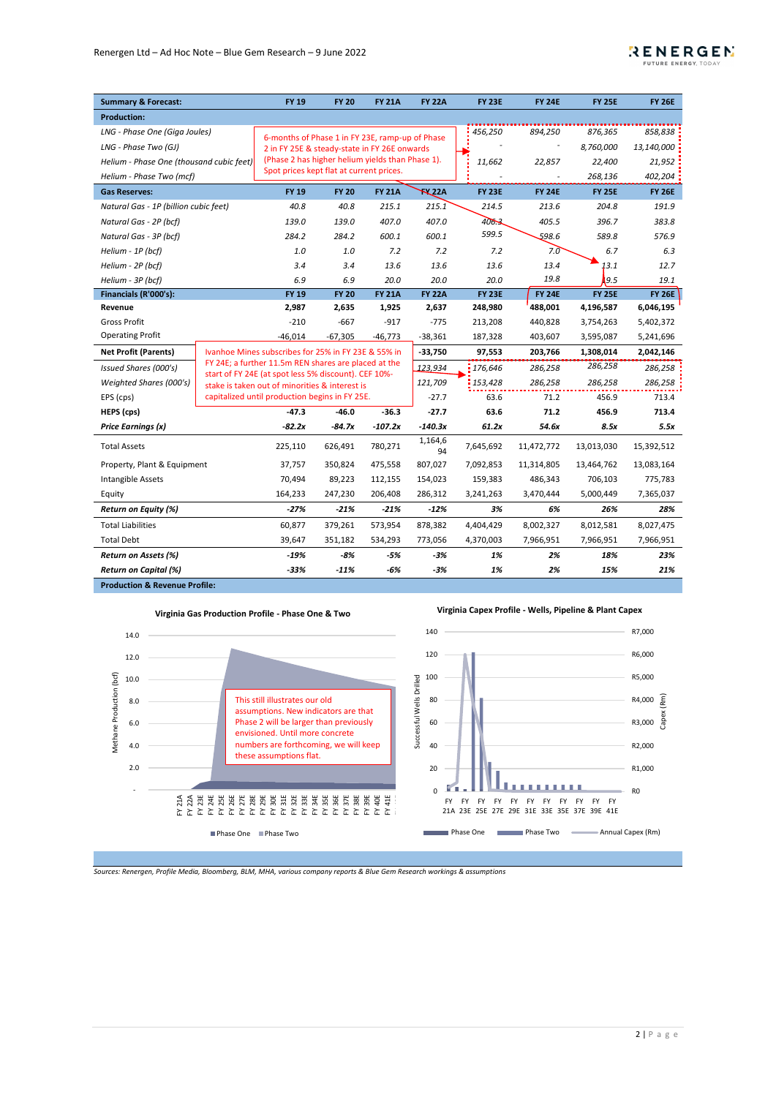

| <b>Summary &amp; Forecast:</b>           |                                                     | <b>FY 19</b>                                                                                                 | <b>FY 20</b> | <b>FY 21A</b> | <b>FY 22A</b> | <b>FY 23E</b> | <b>FY 24E</b> | <b>FY 25E</b> | <b>FY 26E</b> |
|------------------------------------------|-----------------------------------------------------|--------------------------------------------------------------------------------------------------------------|--------------|---------------|---------------|---------------|---------------|---------------|---------------|
| <b>Production:</b>                       |                                                     |                                                                                                              |              |               |               |               |               |               |               |
| LNG - Phase One (Giga Joules)            |                                                     |                                                                                                              |              |               |               | 456,250       | 894,250       | 876,365       | 858,838       |
| LNG - Phase Two (GJ)                     |                                                     | 6-months of Phase 1 in FY 23E, ramp-up of Phase<br>2 in FY 25E & steady-state in FY 26E onwards              |              |               |               |               |               | 8,760,000     | 13,140,000    |
| Helium - Phase One (thousand cubic feet) |                                                     | (Phase 2 has higher helium yields than Phase 1).                                                             |              |               |               | 11,662        | 22,857        | 22,400        | 21,952        |
| Helium - Phase Two (mcf)                 |                                                     | Spot prices kept flat at current prices.                                                                     |              |               |               |               |               | 268,136       | 402,204       |
| <b>Gas Reserves:</b>                     |                                                     | <b>FY 19</b>                                                                                                 | <b>FY 20</b> | <b>FY 21A</b> | K22A          | <b>FY 23E</b> | <b>FY 24E</b> | <b>FY 25E</b> | <b>FY 26E</b> |
| Natural Gas - 1P (billion cubic feet)    |                                                     | 40.8                                                                                                         | 40.8         | 215.1         | 215.1         | 214.5         | 213.6         | 204.8         | 191.9         |
| Natural Gas - 2P (bcf)                   |                                                     | 139.0                                                                                                        | 139.0        | 407.0         | 407.0         | 406.3         | 405.5         | 396.7         | 383.8         |
| Natural Gas - 3P (bcf)                   |                                                     | 284.2                                                                                                        | 284.2        | 600.1         | 600.1         | 599.5         | 598.6         | 589.8         | 576.9         |
| Helium - 1P (bcf)                        |                                                     | 1.0                                                                                                          | 1.0          | 7.2           | 7.2           | 7.2           | 7.0           | 6.7           | 6.3           |
| Helium - 2P (bcf)                        |                                                     | 3.4                                                                                                          | 3.4          | 13.6          | 13.6          | 13.6          | 13.4          | 13.1          | 12.7          |
| Helium - 3P (bcf)                        |                                                     | 6.9                                                                                                          | 6.9          | 20.0          | 20.0          | 20.0          | 19.8          | 19.5          | 19.1          |
| Financials (R'000's):                    |                                                     | <b>FY 19</b>                                                                                                 | <b>FY 20</b> | <b>FY 21A</b> | <b>FY 22A</b> | <b>FY 23E</b> | <b>FY 24E</b> | <b>FY 25E</b> | <b>FY 26E</b> |
| Revenue                                  |                                                     | 2,987                                                                                                        | 2,635        | 1,925         | 2,637         | 248,980       | 488,001       | 4,196,587     | 6,046,195     |
| <b>Gross Profit</b>                      |                                                     | $-210$                                                                                                       | $-667$       | $-917$        | $-775$        | 213,208       | 440,828       | 3,754,263     | 5,402,372     |
| <b>Operating Profit</b>                  |                                                     | $-46,014$                                                                                                    | $-67,305$    | $-46,773$     | $-38,361$     | 187,328       | 403,607       | 3,595,087     | 5,241,696     |
| <b>Net Profit (Parents)</b>              | Ivanhoe Mines subscribes for 25% in FY 23E & 55% in |                                                                                                              |              | $-33,750$     | 97,553        | 203,766       | 1,308,014     | 2,042,146     |               |
| Issued Shares (000's)                    |                                                     | FY 24E; a further 11.5m REN shares are placed at the<br>start of FY 24E (at spot less 5% discount). CEF 10%- |              |               | 123,934       | 176,646       | 286,258       | 286,258       | 286,258       |
| Weighted Shares (000's)                  |                                                     | stake is taken out of minorities & interest is                                                               |              |               | 121,709       | 153,428       | 286,258       | 286,258       | 286,258       |
| EPS (cps)                                |                                                     | capitalized until production begins in FY 25E.                                                               |              |               | $-27.7$       | 63.6          | 71.2          | 456.9         | 713.4         |
| HEPS (cps)                               |                                                     | $-47.3$                                                                                                      | $-46.0$      | $-36.3$       | $-27.7$       | 63.6          | 71.2          | 456.9         | 713.4         |
| Price Earnings (x)                       |                                                     | $-82.2x$                                                                                                     | $-84.7x$     | $-107.2x$     | $-140.3x$     | 61.2x         | 54.6x         | 8.5x          | 5.5x          |
| <b>Total Assets</b>                      |                                                     | 225,110                                                                                                      | 626,491      | 780,271       | 1,164,6<br>94 | 7,645,692     | 11,472,772    | 13,013,030    | 15,392,512    |
| Property, Plant & Equipment              |                                                     | 37,757                                                                                                       | 350,824      | 475,558       | 807,027       | 7,092,853     | 11,314,805    | 13,464,762    | 13,083,164    |
| Intangible Assets                        |                                                     | 70,494                                                                                                       | 89,223       | 112,155       | 154,023       | 159,383       | 486,343       | 706,103       | 775,783       |
| Equity                                   |                                                     | 164,233                                                                                                      | 247,230      | 206,408       | 286,312       | 3,241,263     | 3,470,444     | 5,000,449     | 7,365,037     |
| <b>Return on Equity (%)</b>              |                                                     | $-27%$                                                                                                       | $-21%$       | $-21%$        | $-12%$        | 3%            | 6%            | 26%           | 28%           |
| <b>Total Liabilities</b>                 |                                                     | 60,877                                                                                                       | 379,261      | 573,954       | 878,382       | 4,404,429     | 8,002,327     | 8,012,581     | 8,027,475     |
| <b>Total Debt</b>                        |                                                     | 39,647                                                                                                       | 351,182      | 534,293       | 773,056       | 4,370,003     | 7,966,951     | 7,966,951     | 7,966,951     |
| Return on Assets (%)                     |                                                     | $-19%$                                                                                                       | $-8%$        | -5%           | $-3%$         | 1%            | 2%            | 18%           | 23%           |
| <b>Return on Capital (%)</b>             |                                                     | $-33%$                                                                                                       | $-11%$       | -6%           | $-3%$         | 1%            | 2%            | 15%           | 21%           |
| <b>Production &amp; Revenue Profile:</b> |                                                     |                                                                                                              |              |               |               |               |               |               |               |



*Sources: Renergen, Profile Media, Bloomberg, BLM, MHA, various company reports & Blue Gem Research workings & assumptions*